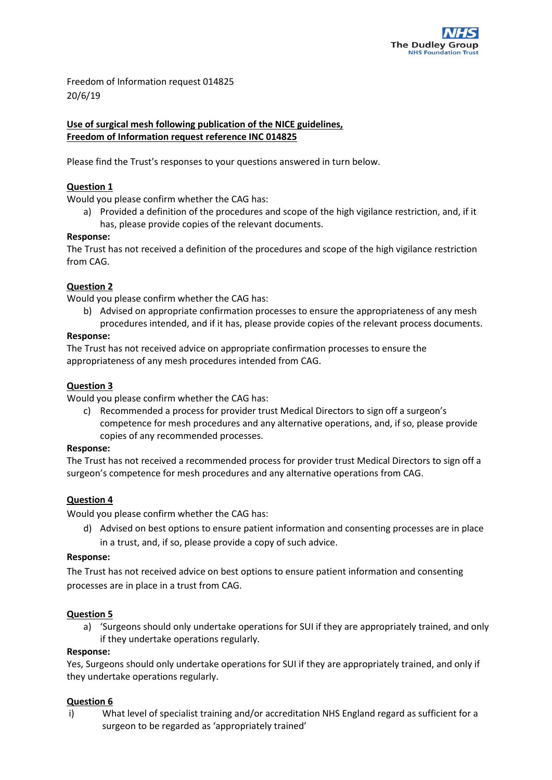

Freedom of Information request 014825 20/6/19

# **Use of surgical mesh following publication of the NICE guidelines, Freedom of Information request reference INC 014825**

Please find the Trust's responses to your questions answered in turn below.

## **Question 1**

Would you please confirm whether the CAG has:

a) Provided a definition of the procedures and scope of the high vigilance restriction, and, if it has, please provide copies of the relevant documents.

### **Response:**

The Trust has not received a definition of the procedures and scope of the high vigilance restriction from CAG.

### **Question 2**

Would you please confirm whether the CAG has:

- b) Advised on appropriate confirmation processes to ensure the appropriateness of any mesh
	- procedures intended, and if it has, please provide copies of the relevant process documents.

### **Response:**

The Trust has not received advice on appropriate confirmation processes to ensure the appropriateness of any mesh procedures intended from CAG.

### **Question 3**

Would you please confirm whether the CAG has:

c) Recommended a process for provider trust Medical Directors to sign off a surgeon's competence for mesh procedures and any alternative operations, and, if so, please provide copies of any recommended processes.

### **Response:**

The Trust has not received a recommended process for provider trust Medical Directors to sign off a surgeon's competence for mesh procedures and any alternative operations from CAG.

### **Question 4**

Would you please confirm whether the CAG has:

d) Advised on best options to ensure patient information and consenting processes are in place in a trust, and, if so, please provide a copy of such advice.

### **Response:**

The Trust has not received advice on best options to ensure patient information and consenting processes are in place in a trust from CAG.

### **Question 5**

a) 'Surgeons should only undertake operations for SUI if they are appropriately trained, and only if they undertake operations regularly.

#### **Response:**

Yes, Surgeons should only undertake operations for SUI if they are appropriately trained, and only if they undertake operations regularly.

### **Question 6**

i) What level of specialist training and/or accreditation NHS England regard as sufficient for a surgeon to be regarded as 'appropriately trained'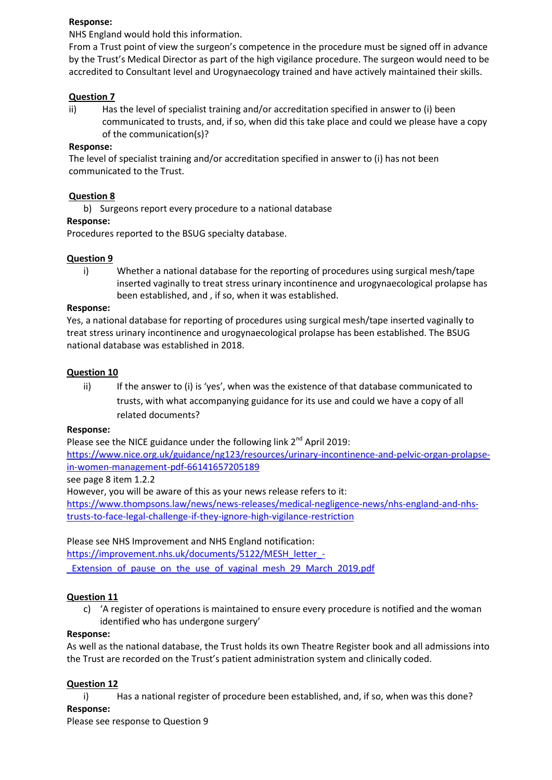### **Response:**

NHS England would hold this information.

From a Trust point of view the surgeon's competence in the procedure must be signed off in advance by the Trust's Medical Director as part of the high vigilance procedure. The surgeon would need to be accredited to Consultant level and Urogynaecology trained and have actively maintained their skills.

## **Question 7**

ii) Has the level of specialist training and/or accreditation specified in answer to (i) been communicated to trusts, and, if so, when did this take place and could we please have a copy of the communication(s)?

## **Response:**

The level of specialist training and/or accreditation specified in answer to (i) has not been communicated to the Trust.

# **Question 8**

b) Surgeons report every procedure to a national database

## **Response:**

Procedures reported to the BSUG specialty database.

# **Question 9**

i) Whether a national database for the reporting of procedures using surgical mesh/tape inserted vaginally to treat stress urinary incontinence and urogynaecological prolapse has been established, and , if so, when it was established.

### **Response:**

Yes, a national database for reporting of procedures using surgical mesh/tape inserted vaginally to treat stress urinary incontinence and urogynaecological prolapse has been established. The BSUG national database was established in 2018.

## **Question 10**

ii) If the answer to (i) is 'yes', when was the existence of that database communicated to trusts, with what accompanying guidance for its use and could we have a copy of all related documents?

### **Response:**

Please see the NICE guidance under the following link  $2^{nd}$  April 2019:

[https://www.nice.org.uk/guidance/ng123/resources/urinary-incontinence-and-pelvic-organ-prolapse](https://www.nice.org.uk/guidance/ng123/resources/urinary-incontinence-and-pelvic-organ-prolapse-in-women-management-pdf-66141657205189)[in-women-management-pdf-66141657205189](https://www.nice.org.uk/guidance/ng123/resources/urinary-incontinence-and-pelvic-organ-prolapse-in-women-management-pdf-66141657205189)

see page 8 item 1.2.2

However, you will be aware of this as your news release refers to it:

[https://www.thompsons.law/news/news-releases/medical-negligence-news/nhs-england-and-nhs](https://www.thompsons.law/news/news-releases/medical-negligence-news/nhs-england-and-nhs-trusts-to-face-legal-challenge-if-they-ignore-high-vigilance-restriction)[trusts-to-face-legal-challenge-if-they-ignore-high-vigilance-restriction](https://www.thompsons.law/news/news-releases/medical-negligence-news/nhs-england-and-nhs-trusts-to-face-legal-challenge-if-they-ignore-high-vigilance-restriction)

# Please see NHS Improvement and NHS England notification:

[https://improvement.nhs.uk/documents/5122/MESH\\_letter\\_-](https://improvement.nhs.uk/documents/5122/MESH_letter_-_Extension_of_pause_on_the_use_of_vaginal_mesh_29_March_2019.pdf)

Extension of pause on the use of vaginal mesh 29 March 2019.pdf

# **Question 11**

c) 'A register of operations is maintained to ensure every procedure is notified and the woman identified who has undergone surgery'

### **Response:**

As well as the national database, the Trust holds its own Theatre Register book and all admissions into the Trust are recorded on the Trust's patient administration system and clinically coded.

# **Question 12**

i) Has a national register of procedure been established, and, if so, when was this done?

### **Response:**

Please see response to Question 9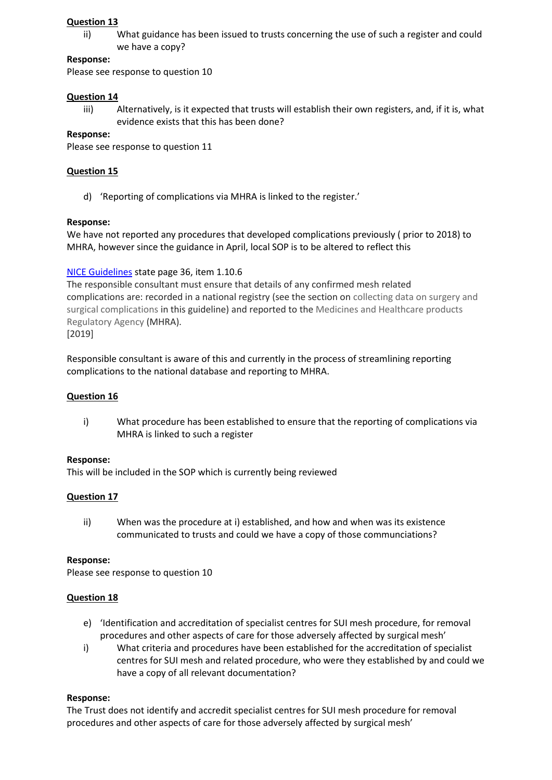## **Question 13**

ii) What guidance has been issued to trusts concerning the use of such a register and could we have a copy?

### **Response:**

Please see response to question 10

### **Question 14**

iii) Alternatively, is it expected that trusts will establish their own registers, and, if it is, what evidence exists that this has been done?

### **Response:**

Please see response to question 11

# **Question 15**

d) 'Reporting of complications via MHRA is linked to the register.'

## **Response:**

We have not reported any procedures that developed complications previously ( prior to 2018) to MHRA, however since the guidance in April, local SOP is to be altered to reflect this

# [NICE Guidelines](https://www.nice.org.uk/guidance/ng123/resources/urinary-incontinence-and-pelvic-organ-prolapse-in-women-management-pdf-66141657205189) state page 36, item 1.10.6

The responsible consultant must ensure that details of any confirmed mesh related complications are: recorded in a national registry (see the section on collecting data on surgery and surgical complications in this guideline) and reported to the Medicines and Healthcare products Regulatory Agency (MHRA). [2019]

Responsible consultant is aware of this and currently in the process of streamlining reporting complications to the national database and reporting to MHRA.

# **Question 16**

i) What procedure has been established to ensure that the reporting of complications via MHRA is linked to such a register

### **Response:**

This will be included in the SOP which is currently being reviewed

# **Question 17**

ii) When was the procedure at i) established, and how and when was its existence communicated to trusts and could we have a copy of those communciations?

### **Response:**

Please see response to question 10

### **Question 18**

- e) 'Identification and accreditation of specialist centres for SUI mesh procedure, for removal procedures and other aspects of care for those adversely affected by surgical mesh'
- i) What criteria and procedures have been established for the accreditation of specialist centres for SUI mesh and related procedure, who were they established by and could we have a copy of all relevant documentation?

# **Response:**

The Trust does not identify and accredit specialist centres for SUI mesh procedure for removal procedures and other aspects of care for those adversely affected by surgical mesh'